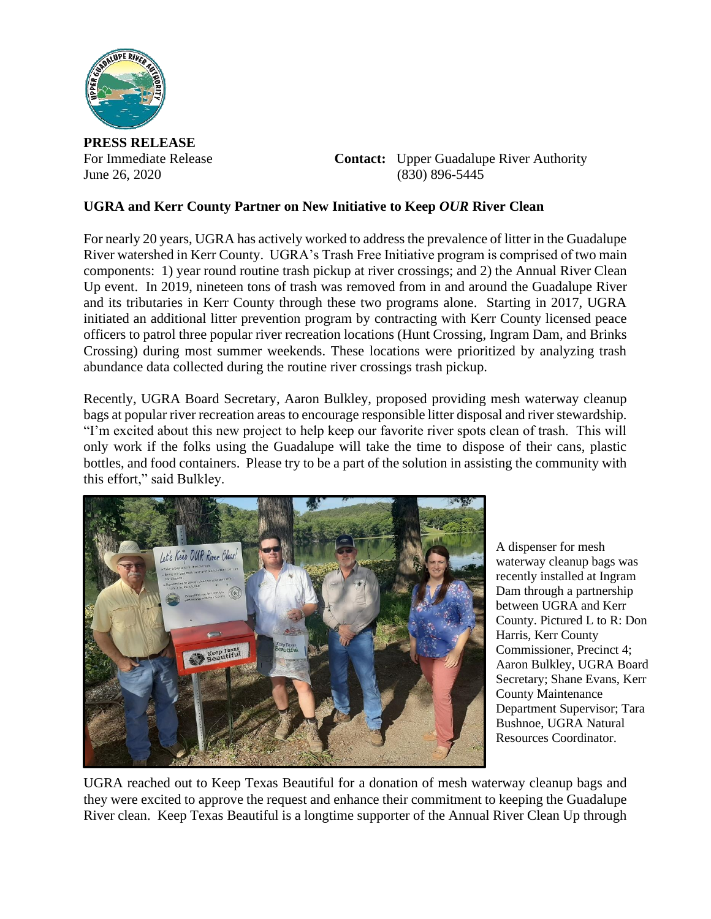

**PRESS RELEASE**

For Immediate Release **Contact:** Upper Guadalupe River Authority June 26, 2020 (830) 896-5445

## **UGRA and Kerr County Partner on New Initiative to Keep** *OUR* **River Clean**

For nearly 20 years, UGRA has actively worked to address the prevalence of litter in the Guadalupe River watershed in Kerr County. UGRA's Trash Free Initiative program is comprised of two main components: 1) year round routine trash pickup at river crossings; and 2) the Annual River Clean Up event. In 2019, nineteen tons of trash was removed from in and around the Guadalupe River and its tributaries in Kerr County through these two programs alone. Starting in 2017, UGRA initiated an additional litter prevention program by contracting with Kerr County licensed peace officers to patrol three popular river recreation locations (Hunt Crossing, Ingram Dam, and Brinks Crossing) during most summer weekends. These locations were prioritized by analyzing trash abundance data collected during the routine river crossings trash pickup.

Recently, UGRA Board Secretary, Aaron Bulkley, proposed providing mesh waterway cleanup bags at popular river recreation areas to encourage responsible litter disposal and river stewardship. "I'm excited about this new project to help keep our favorite river spots clean of trash. This will only work if the folks using the Guadalupe will take the time to dispose of their cans, plastic bottles, and food containers. Please try to be a part of the solution in assisting the community with this effort," said Bulkley.



A dispenser for mesh waterway cleanup bags was recently installed at Ingram Dam through a partnership between UGRA and Kerr County. Pictured L to R: Don Harris, Kerr County Commissioner, Precinct 4; Aaron Bulkley, UGRA Board Secretary; Shane Evans, Kerr County Maintenance Department Supervisor; Tara Bushnoe, UGRA Natural Resources Coordinator.

UGRA reached out to Keep Texas Beautiful for a donation of mesh waterway cleanup bags and they were excited to approve the request and enhance their commitment to keeping the Guadalupe River clean. Keep Texas Beautiful is a longtime supporter of the Annual River Clean Up through